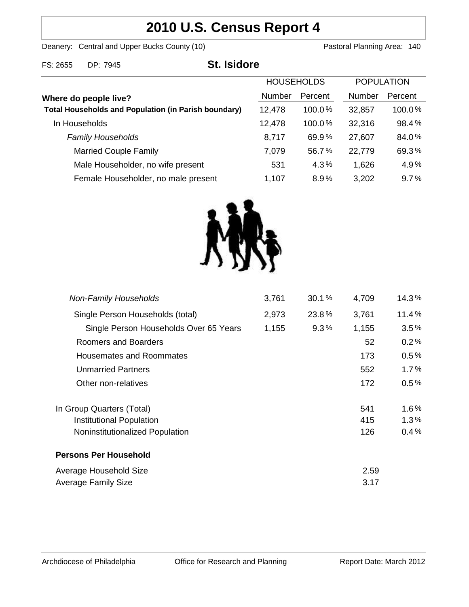# **2010 U.S. Census Report 4**

Deanery: Central and Upper Bucks County (10) Deanery: Central and Upper Bucks County (10)

| FS: 2655              | DP: 7945                                                    | <b>St. Isidore</b> |                   |               |                   |        |
|-----------------------|-------------------------------------------------------------|--------------------|-------------------|---------------|-------------------|--------|
|                       |                                                             |                    | <b>HOUSEHOLDS</b> |               | <b>POPULATION</b> |        |
| Where do people live? |                                                             | <b>Number</b>      | Percent           | <b>Number</b> | Percent           |        |
|                       | <b>Total Households and Population (in Parish boundary)</b> |                    | 12,478            | 100.0%        | 32,857            | 100.0% |
|                       | In Households                                               |                    | 12,478            | $100.0\%$     | 32,316            | 98.4%  |
|                       | <b>Family Households</b>                                    |                    | 8,717             | 69.9%         | 27,607            | 84.0%  |
|                       | <b>Married Couple Family</b>                                |                    | 7,079             | 56.7%         | 22,779            | 69.3%  |
|                       | Male Householder, no wife present                           |                    | 531               | 4.3%          | 1,626             | 4.9%   |
|                       | Female Householder, no male present                         |                    | 1,107             | 8.9%          | 3,202             | 9.7%   |



| <b>Non-Family Households</b>           | 3,761 | 30.1%   | 4,709 | 14.3%   |
|----------------------------------------|-------|---------|-------|---------|
| Single Person Households (total)       | 2,973 | 23.8%   | 3,761 | 11.4%   |
| Single Person Households Over 65 Years | 1,155 | $9.3\%$ | 1,155 | $3.5\%$ |
| Roomers and Boarders                   |       |         | 52    | 0.2%    |
| <b>Housemates and Roommates</b>        |       |         | 173   | 0.5%    |
| <b>Unmarried Partners</b>              |       |         | 552   | 1.7%    |
| Other non-relatives                    |       |         | 172   | $0.5\%$ |
|                                        |       |         |       |         |
| In Group Quarters (Total)              |       |         | 541   | $1.6\%$ |
| Institutional Population               |       |         | 415   | $1.3\%$ |
| Noninstitutionalized Population        |       |         | 126   | $0.4\%$ |
| <b>Persons Per Household</b>           |       |         |       |         |
| Average Household Size                 |       |         | 2.59  |         |
| Average Family Size                    |       |         | 3.17  |         |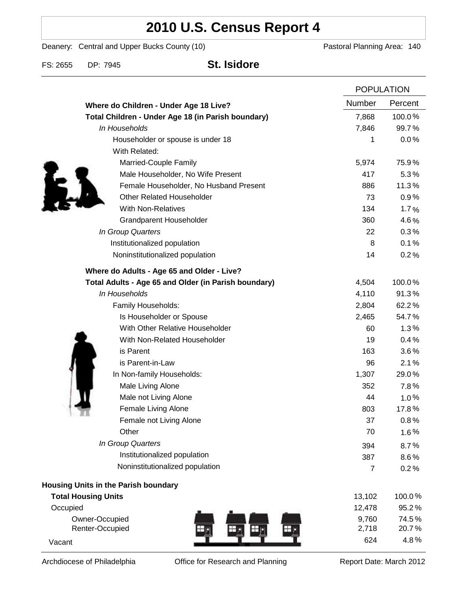# **2010 U.S. Census Report 4**

Deanery: Central and Upper Bucks County (10) Deanery: Central and Upper Bucks County (10)

FS: 2655 DP: 7945 **St. Isidore**

|                                                      |  | <b>POPULATION</b> |         |
|------------------------------------------------------|--|-------------------|---------|
| Where do Children - Under Age 18 Live?               |  | Number            | Percent |
| Total Children - Under Age 18 (in Parish boundary)   |  | 7,868             | 100.0%  |
| In Households                                        |  | 7,846             | 99.7%   |
| Householder or spouse is under 18                    |  | 1                 | 0.0%    |
| With Related:                                        |  |                   |         |
| Married-Couple Family                                |  | 5,974             | 75.9%   |
| Male Householder, No Wife Present                    |  | 417               | 5.3%    |
| Female Householder, No Husband Present               |  | 886               | 11.3%   |
| <b>Other Related Householder</b>                     |  | 73                | 0.9%    |
| <b>With Non-Relatives</b>                            |  | 134               | 1.7%    |
| <b>Grandparent Householder</b>                       |  | 360               | 4.6%    |
| In Group Quarters                                    |  | 22                | 0.3%    |
| Institutionalized population                         |  | 8                 | 0.1%    |
| Noninstitutionalized population                      |  | 14                | 0.2%    |
| Where do Adults - Age 65 and Older - Live?           |  |                   |         |
| Total Adults - Age 65 and Older (in Parish boundary) |  | 4,504             | 100.0%  |
| In Households                                        |  | 4,110             | 91.3%   |
| Family Households:                                   |  | 2,804             | 62.2%   |
| Is Householder or Spouse                             |  | 2,465             | 54.7%   |
| With Other Relative Householder                      |  | 60                | 1.3%    |
| With Non-Related Householder                         |  | 19                | 0.4%    |
| is Parent                                            |  | 163               | 3.6%    |
| is Parent-in-Law                                     |  | 96                | 2.1%    |
| In Non-family Households:                            |  | 1,307             | 29.0%   |
| Male Living Alone                                    |  | 352               | 7.8%    |
| Male not Living Alone                                |  | 44                | $1.0\%$ |
| Female Living Alone                                  |  | 803               | 17.8%   |
| Female not Living Alone                              |  | 37                | 0.8%    |
| Other                                                |  | 70                | 1.6%    |
| In Group Quarters                                    |  | 394               | 8.7%    |
| Institutionalized population                         |  | 387               | 8.6%    |
| Noninstitutionalized population                      |  | $\overline{7}$    | 0.2%    |
| Housing Units in the Parish boundary                 |  |                   |         |
| <b>Total Housing Units</b>                           |  | 13,102            | 100.0%  |
| Occupied                                             |  | 12,478            | 95.2%   |
| Owner-Occupied                                       |  | 9,760             | 74.5%   |
| Renter-Occupied                                      |  | 2,718             | 20.7%   |
| Vacant                                               |  | 624               | 4.8%    |

Archdiocese of Philadelphia **Office for Research and Planning** Report Date: March 2012